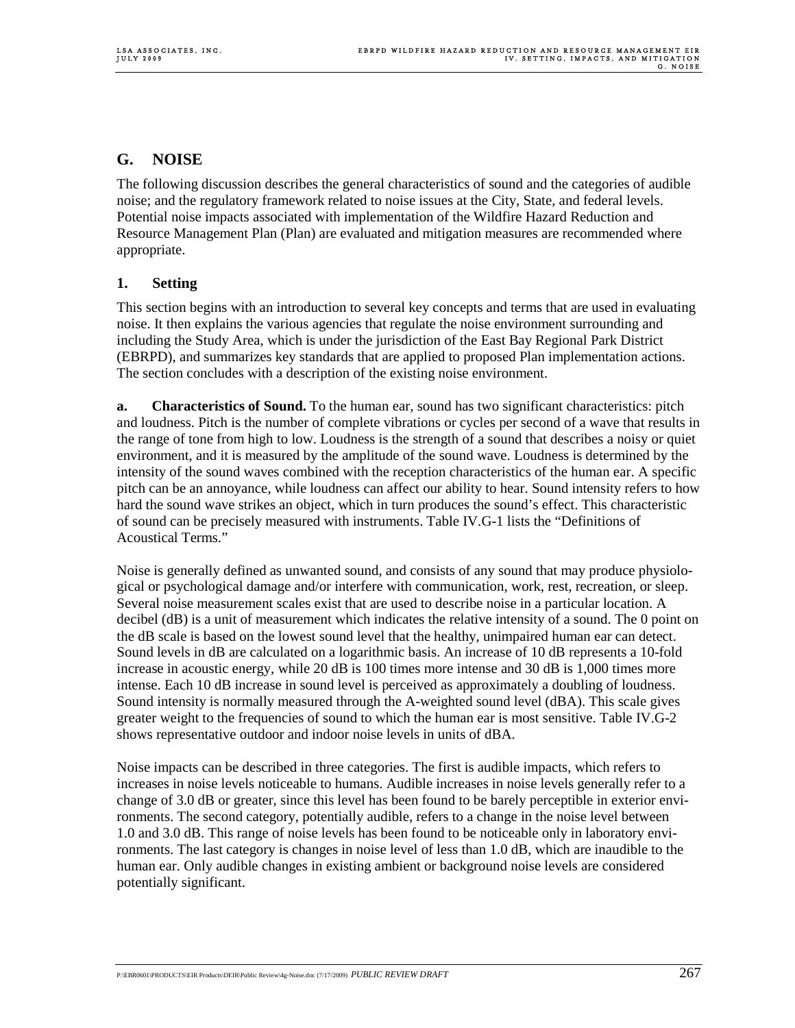# **G. NOISE**

The following discussion describes the general characteristics of sound and the categories of audible noise; and the regulatory framework related to noise issues at the City, State, and federal levels. Potential noise impacts associated with implementation of the Wildfire Hazard Reduction and Resource Management Plan (Plan) are evaluated and mitigation measures are recommended where appropriate.

## **1. Setting**

This section begins with an introduction to several key concepts and terms that are used in evaluating noise. It then explains the various agencies that regulate the noise environment surrounding and including the Study Area, which is under the jurisdiction of the East Bay Regional Park District (EBRPD), and summarizes key standards that are applied to proposed Plan implementation actions. The section concludes with a description of the existing noise environment.

**a. Characteristics of Sound.** To the human ear, sound has two significant characteristics: pitch and loudness. Pitch is the number of complete vibrations or cycles per second of a wave that results in the range of tone from high to low. Loudness is the strength of a sound that describes a noisy or quiet environment, and it is measured by the amplitude of the sound wave. Loudness is determined by the intensity of the sound waves combined with the reception characteristics of the human ear. A specific pitch can be an annoyance, while loudness can affect our ability to hear. Sound intensity refers to how hard the sound wave strikes an object, which in turn produces the sound's effect. This characteristic of sound can be precisely measured with instruments. Table IV.G-1 lists the "Definitions of Acoustical Terms."

Noise is generally defined as unwanted sound, and consists of any sound that may produce physiological or psychological damage and/or interfere with communication, work, rest, recreation, or sleep. Several noise measurement scales exist that are used to describe noise in a particular location. A decibel (dB) is a unit of measurement which indicates the relative intensity of a sound. The 0 point on the dB scale is based on the lowest sound level that the healthy, unimpaired human ear can detect. Sound levels in dB are calculated on a logarithmic basis. An increase of 10 dB represents a 10-fold increase in acoustic energy, while 20 dB is 100 times more intense and 30 dB is 1,000 times more intense. Each 10 dB increase in sound level is perceived as approximately a doubling of loudness. Sound intensity is normally measured through the A-weighted sound level (dBA). This scale gives greater weight to the frequencies of sound to which the human ear is most sensitive. Table IV.G-2 shows representative outdoor and indoor noise levels in units of dBA.

Noise impacts can be described in three categories. The first is audible impacts, which refers to increases in noise levels noticeable to humans. Audible increases in noise levels generally refer to a change of 3.0 dB or greater, since this level has been found to be barely perceptible in exterior environments. The second category, potentially audible, refers to a change in the noise level between 1.0 and 3.0 dB. This range of noise levels has been found to be noticeable only in laboratory environments. The last category is changes in noise level of less than 1.0 dB, which are inaudible to the human ear. Only audible changes in existing ambient or background noise levels are considered potentially significant.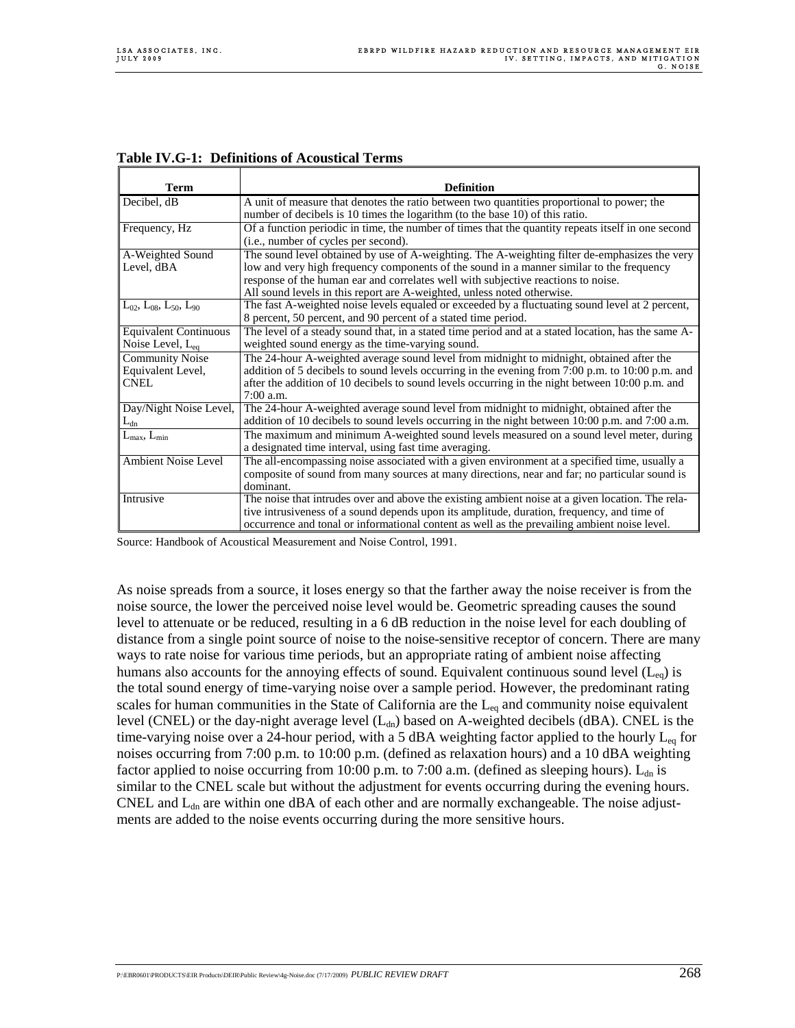| <b>Term</b>                               | <b>Definition</b>                                                                                   |
|-------------------------------------------|-----------------------------------------------------------------------------------------------------|
| Decibel, $\overline{dB}$                  | A unit of measure that denotes the ratio between two quantities proportional to power; the          |
|                                           | number of decibels is 10 times the logarithm (to the base 10) of this ratio.                        |
| Frequency, Hz                             | Of a function periodic in time, the number of times that the quantity repeats itself in one second  |
|                                           | (i.e., number of cycles per second).                                                                |
| A-Weighted Sound                          | The sound level obtained by use of A-weighting. The A-weighting filter de-emphasizes the very       |
| Level, dBA                                | low and very high frequency components of the sound in a manner similar to the frequency            |
|                                           | response of the human ear and correlates well with subjective reactions to noise.                   |
|                                           | All sound levels in this report are A-weighted, unless noted otherwise.                             |
| $L_{02}$ , $L_{08}$ , $L_{50}$ , $L_{90}$ | The fast A-weighted noise levels equaled or exceeded by a fluctuating sound level at 2 percent,     |
|                                           | 8 percent, 50 percent, and 90 percent of a stated time period.                                      |
| <b>Equivalent Continuous</b>              | The level of a steady sound that, in a stated time period and at a stated location, has the same A- |
| Noise Level, $L_{eq}$                     | weighted sound energy as the time-varying sound.                                                    |
| <b>Community Noise</b>                    | The 24-hour A-weighted average sound level from midnight to midnight, obtained after the            |
| Equivalent Level,                         | addition of 5 decibels to sound levels occurring in the evening from 7:00 p.m. to 10:00 p.m. and    |
| <b>CNEL</b>                               | after the addition of 10 decibels to sound levels occurring in the night between 10:00 p.m. and     |
|                                           | $7:00$ a.m.                                                                                         |
| Day/Night Noise Level,                    | The 24-hour A-weighted average sound level from midnight to midnight, obtained after the            |
| $L_{dn}$                                  | addition of 10 decibels to sound levels occurring in the night between 10:00 p.m. and 7:00 a.m.     |
| $L_{\rm max}$ , $L_{\rm min}$             | The maximum and minimum A-weighted sound levels measured on a sound level meter, during             |
|                                           | a designated time interval, using fast time averaging.                                              |
| <b>Ambient Noise Level</b>                | The all-encompassing noise associated with a given environment at a specified time, usually a       |
|                                           | composite of sound from many sources at many directions, near and far; no particular sound is       |
|                                           | dominant.                                                                                           |
| Intrusive                                 | The noise that intrudes over and above the existing ambient noise at a given location. The rela-    |
|                                           | tive intrusiveness of a sound depends upon its amplitude, duration, frequency, and time of          |
|                                           | occurrence and tonal or informational content as well as the prevailing ambient noise level.        |

| <b>Table IV.G-1: Definitions of Acoustical Terms</b> |  |  |  |
|------------------------------------------------------|--|--|--|
|------------------------------------------------------|--|--|--|

Source: Handbook of Acoustical Measurement and Noise Control, 1991.

As noise spreads from a source, it loses energy so that the farther away the noise receiver is from the noise source, the lower the perceived noise level would be. Geometric spreading causes the sound level to attenuate or be reduced, resulting in a 6 dB reduction in the noise level for each doubling of distance from a single point source of noise to the noise-sensitive receptor of concern. There are many ways to rate noise for various time periods, but an appropriate rating of ambient noise affecting humans also accounts for the annoying effects of sound. Equivalent continuous sound level  $(L_{eq})$  is the total sound energy of time-varying noise over a sample period. However, the predominant rating scales for human communities in the State of California are the  $L_{eq}$  and community noise equivalent level (CNEL) or the day-night average level (L<sub>dn</sub>) based on A-weighted decibels (dBA). CNEL is the time-varying noise over a 24-hour period, with a 5 dBA weighting factor applied to the hourly  $L_{eq}$  for noises occurring from 7:00 p.m. to 10:00 p.m. (defined as relaxation hours) and a 10 dBA weighting factor applied to noise occurring from 10:00 p.m. to 7:00 a.m. (defined as sleeping hours).  $L_{dn}$  is similar to the CNEL scale but without the adjustment for events occurring during the evening hours. CNEL and  $L_{dn}$  are within one dBA of each other and are normally exchangeable. The noise adjustments are added to the noise events occurring during the more sensitive hours.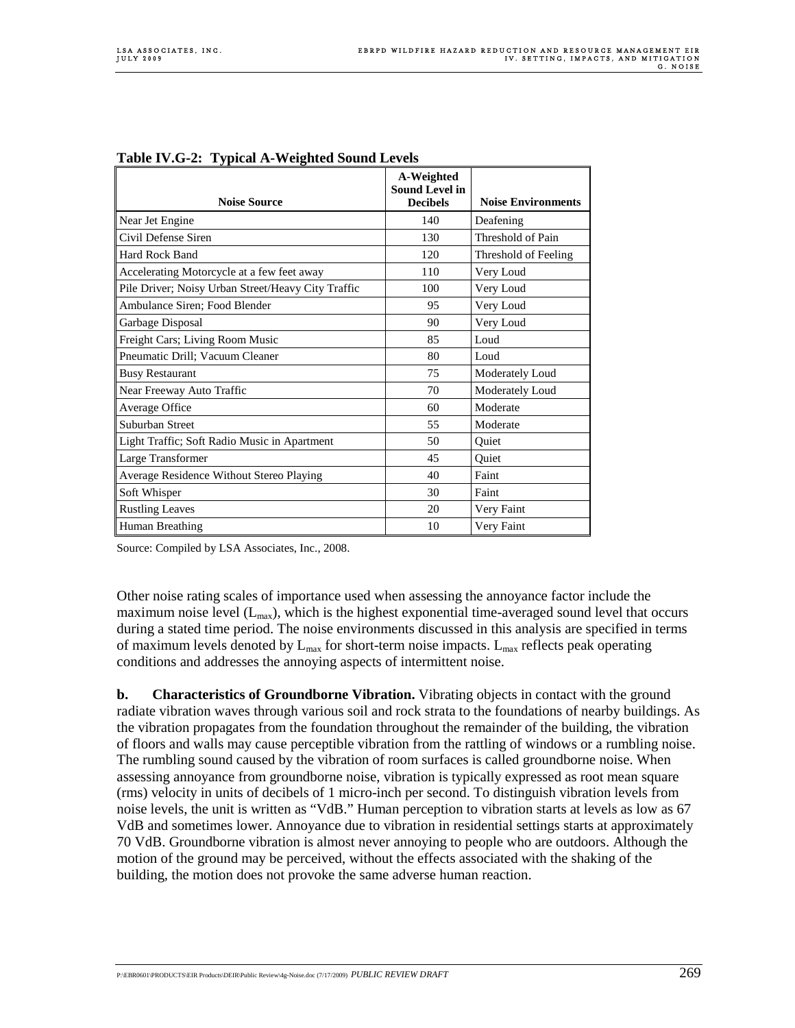|                                                    | A-Weighted                               |                           |
|----------------------------------------------------|------------------------------------------|---------------------------|
| <b>Noise Source</b>                                | <b>Sound Level in</b><br><b>Decibels</b> | <b>Noise Environments</b> |
| Near Jet Engine                                    | 140                                      | Deafening                 |
| Civil Defense Siren                                | 130                                      | Threshold of Pain         |
| <b>Hard Rock Band</b>                              | 120                                      | Threshold of Feeling      |
| Accelerating Motorcycle at a few feet away         | 110                                      | Very Loud                 |
| Pile Driver; Noisy Urban Street/Heavy City Traffic | 100                                      | Very Loud                 |
| Ambulance Siren; Food Blender                      | 95                                       | Very Loud                 |
| Garbage Disposal                                   | 90                                       | Very Loud                 |
| Freight Cars; Living Room Music                    | 85                                       | Loud                      |
| Pneumatic Drill; Vacuum Cleaner                    | 80                                       | Loud                      |
| <b>Busy Restaurant</b>                             | 75                                       | Moderately Loud           |
| Near Freeway Auto Traffic                          | 70                                       | Moderately Loud           |
| Average Office                                     | 60                                       | Moderate                  |
| Suburban Street                                    | 55                                       | Moderate                  |
| Light Traffic; Soft Radio Music in Apartment       | 50                                       | Quiet                     |
| Large Transformer                                  | 45                                       | Quiet                     |
| Average Residence Without Stereo Playing           | 40                                       | Faint                     |
| Soft Whisper                                       | 30                                       | Faint                     |
| <b>Rustling Leaves</b>                             | 20                                       | Very Faint                |
| Human Breathing                                    | 10                                       | Very Faint                |

| Table IV.G-2: Typical A-Weighted Sound Levels |  |
|-----------------------------------------------|--|
|                                               |  |

Source: Compiled by LSA Associates, Inc., 2008.

Other noise rating scales of importance used when assessing the annoyance factor include the maximum noise level  $(L_{max})$ , which is the highest exponential time-averaged sound level that occurs during a stated time period. The noise environments discussed in this analysis are specified in terms of maximum levels denoted by  $L_{\text{max}}$  for short-term noise impacts.  $L_{\text{max}}$  reflects peak operating conditions and addresses the annoying aspects of intermittent noise.

**b. Characteristics of Groundborne Vibration.** Vibrating objects in contact with the ground radiate vibration waves through various soil and rock strata to the foundations of nearby buildings. As the vibration propagates from the foundation throughout the remainder of the building, the vibration of floors and walls may cause perceptible vibration from the rattling of windows or a rumbling noise. The rumbling sound caused by the vibration of room surfaces is called groundborne noise. When assessing annoyance from groundborne noise, vibration is typically expressed as root mean square (rms) velocity in units of decibels of 1 micro-inch per second. To distinguish vibration levels from noise levels, the unit is written as "VdB." Human perception to vibration starts at levels as low as 67 VdB and sometimes lower. Annoyance due to vibration in residential settings starts at approximately 70 VdB. Groundborne vibration is almost never annoying to people who are outdoors. Although the motion of the ground may be perceived, without the effects associated with the shaking of the building, the motion does not provoke the same adverse human reaction.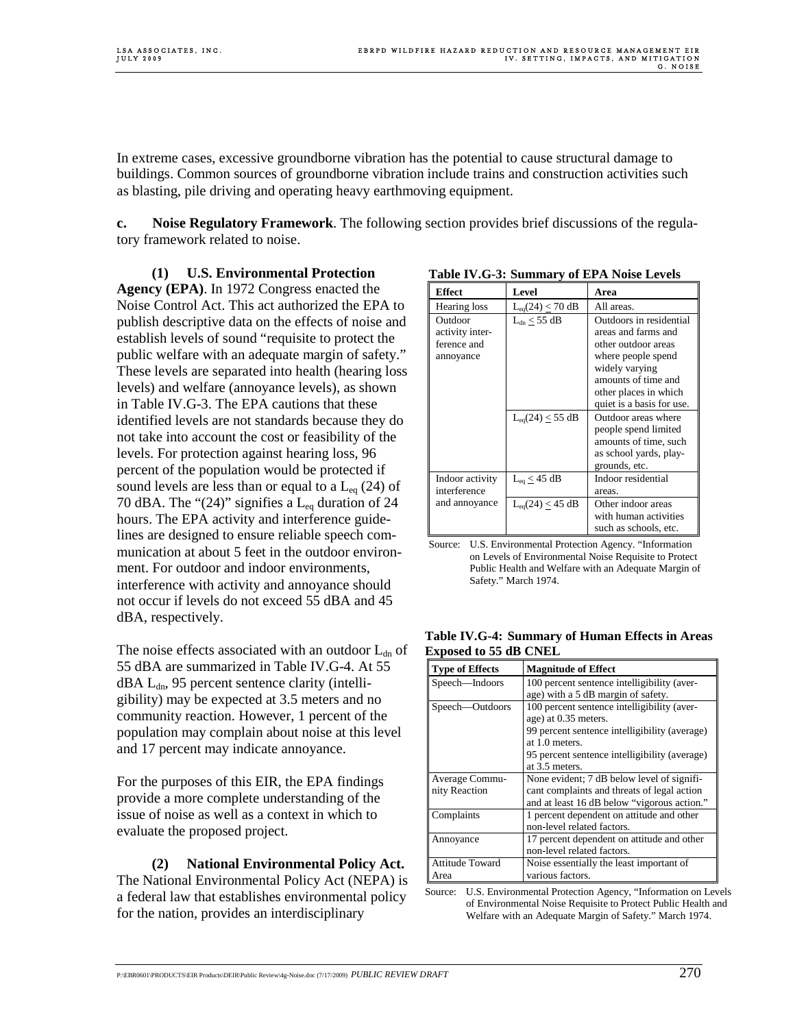In extreme cases, excessive groundborne vibration has the potential to cause structural damage to buildings. Common sources of groundborne vibration include trains and construction activities such as blasting, pile driving and operating heavy earthmoving equipment.

**c. Noise Regulatory Framework**. The following section provides brief discussions of the regulatory framework related to noise.

 **(1) U.S. Environmental Protection Agency (EPA)**. In 1972 Congress enacted the Noise Control Act. This act authorized the EPA to publish descriptive data on the effects of noise and establish levels of sound "requisite to protect the public welfare with an adequate margin of safety." These levels are separated into health (hearing loss levels) and welfare (annoyance levels), as shown in Table IV.G-3. The EPA cautions that these identified levels are not standards because they do not take into account the cost or feasibility of the levels. For protection against hearing loss, 96 percent of the population would be protected if sound levels are less than or equal to a  $L_{eq}$  (24) of 70 dBA. The " $(24)$ " signifies a L<sub>eq</sub> duration of 24 hours. The EPA activity and interference guidelines are designed to ensure reliable speech communication at about 5 feet in the outdoor environment. For outdoor and indoor environments, interference with activity and annoyance should not occur if levels do not exceed 55 dBA and 45 dBA, respectively.

The noise effects associated with an outdoor  $L_{dn}$  of 55 dBA are summarized in Table IV.G-4. At 55  $dBA L<sub>dn</sub>$ , 95 percent sentence clarity (intelligibility) may be expected at 3.5 meters and no community reaction. However, 1 percent of the population may complain about noise at this level and 17 percent may indicate annoyance.

For the purposes of this EIR, the EPA findings provide a more complete understanding of the issue of noise as well as a context in which to evaluate the proposed project.

 **(2) National Environmental Policy Act.**  The National Environmental Policy Act (NEPA) is a federal law that establishes environmental policy for the nation, provides an interdisciplinary

| Table IV.G-3: Summary of EPA Noise Levels |  |
|-------------------------------------------|--|
|-------------------------------------------|--|

| <b>Effect</b>                                          | Level                   | Area                                                                                                                                                          |
|--------------------------------------------------------|-------------------------|---------------------------------------------------------------------------------------------------------------------------------------------------------------|
| Hearing loss                                           | $L_{eq}(24) \leq 70$ dB | All areas.                                                                                                                                                    |
| Outdoor<br>activity inter-<br>ference and<br>annoyance | $L_{dn} \leq 55$ dB     | Outdoors in residential<br>areas and farms and<br>other outdoor areas<br>where people spend<br>widely varying<br>amounts of time and<br>other places in which |
|                                                        | $L_{eq}(24) \leq 55$ dB | quiet is a basis for use.<br>Outdoor areas where<br>people spend limited<br>amounts of time, such<br>as school yards, play-<br>grounds, etc.                  |
| Indoor activity<br>interference                        | $L_{eq} \leq 45$ dB     | Indoor residential<br>areas.                                                                                                                                  |
| and annoyance                                          | $L_{eq}(24) \leq 45$ dB | Other indoor areas<br>with human activities<br>such as schools, etc.                                                                                          |

Source: U.S. Environmental Protection Agency. "Information on Levels of Environmental Noise Requisite to Protect Public Health and Welfare with an Adequate Margin of Safety." March 1974.

| Type of Fffects              | Mognitude of Fffeet |                                                 |  |
|------------------------------|---------------------|-------------------------------------------------|--|
| <b>Exposed to 55 dB CNEL</b> |                     |                                                 |  |
|                              |                     | Table TV.G-4: Summary of Human Effects in Areas |  |

**Table IV.G-4: Summary of Human Effects in Areas** 

| <b>Type of Effects</b> | <b>Magnitude of Effect</b>                    |
|------------------------|-----------------------------------------------|
| Speech-Indoors         | 100 percent sentence intelligibility (aver-   |
|                        | age) with a 5 dB margin of safety.            |
| Speech-Outdoors        | 100 percent sentence intelligibility (aver-   |
|                        | age) at 0.35 meters.                          |
|                        | 99 percent sentence intelligibility (average) |
|                        | at 1.0 meters.                                |
|                        | 95 percent sentence intelligibility (average) |
|                        | at 3.5 meters.                                |
| Average Commu-         | None evident; 7 dB below level of signifi-    |
| nity Reaction          | cant complaints and threats of legal action   |
|                        | and at least 16 dB below "vigorous action."   |
| Complaints             | 1 percent dependent on attitude and other     |
|                        | non-level related factors.                    |
| Annoyance              | 17 percent dependent on attitude and other    |
|                        | non-level related factors.                    |
| <b>Attitude Toward</b> | Noise essentially the least important of      |
| Area                   | various factors.                              |

Source: U.S. Environmental Protection Agency, "Information on Levels of Environmental Noise Requisite to Protect Public Health and Welfare with an Adequate Margin of Safety." March 1974.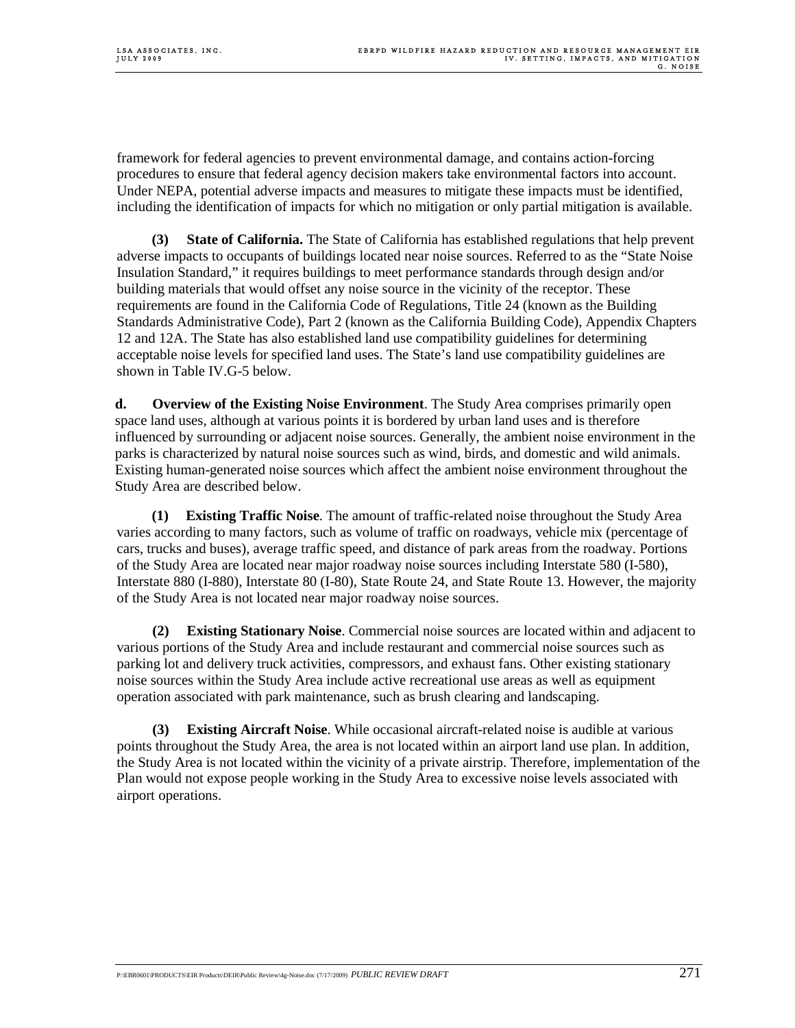framework for federal agencies to prevent environmental damage, and contains action-forcing procedures to ensure that federal agency decision makers take environmental factors into account. Under NEPA, potential adverse impacts and measures to mitigate these impacts must be identified, including the identification of impacts for which no mitigation or only partial mitigation is available.

 **(3) State of California.** The State of California has established regulations that help prevent adverse impacts to occupants of buildings located near noise sources. Referred to as the "State Noise Insulation Standard," it requires buildings to meet performance standards through design and/or building materials that would offset any noise source in the vicinity of the receptor. These requirements are found in the California Code of Regulations, Title 24 (known as the Building Standards Administrative Code), Part 2 (known as the California Building Code), Appendix Chapters 12 and 12A. The State has also established land use compatibility guidelines for determining acceptable noise levels for specified land uses. The State's land use compatibility guidelines are shown in Table IV.G-5 below.

**d. Overview of the Existing Noise Environment**. The Study Area comprises primarily open space land uses, although at various points it is bordered by urban land uses and is therefore influenced by surrounding or adjacent noise sources. Generally, the ambient noise environment in the parks is characterized by natural noise sources such as wind, birds, and domestic and wild animals. Existing human-generated noise sources which affect the ambient noise environment throughout the Study Area are described below.

**(1) Existing Traffic Noise**. The amount of traffic-related noise throughout the Study Area varies according to many factors, such as volume of traffic on roadways, vehicle mix (percentage of cars, trucks and buses), average traffic speed, and distance of park areas from the roadway. Portions of the Study Area are located near major roadway noise sources including Interstate 580 (I-580), Interstate 880 (I-880), Interstate 80 (I-80), State Route 24, and State Route 13. However, the majority of the Study Area is not located near major roadway noise sources.

**(2) Existing Stationary Noise**. Commercial noise sources are located within and adjacent to various portions of the Study Area and include restaurant and commercial noise sources such as parking lot and delivery truck activities, compressors, and exhaust fans. Other existing stationary noise sources within the Study Area include active recreational use areas as well as equipment operation associated with park maintenance, such as brush clearing and landscaping.

**Existing Aircraft Noise**. While occasional aircraft-related noise is audible at various points throughout the Study Area, the area is not located within an airport land use plan. In addition, the Study Area is not located within the vicinity of a private airstrip. Therefore, implementation of the Plan would not expose people working in the Study Area to excessive noise levels associated with airport operations.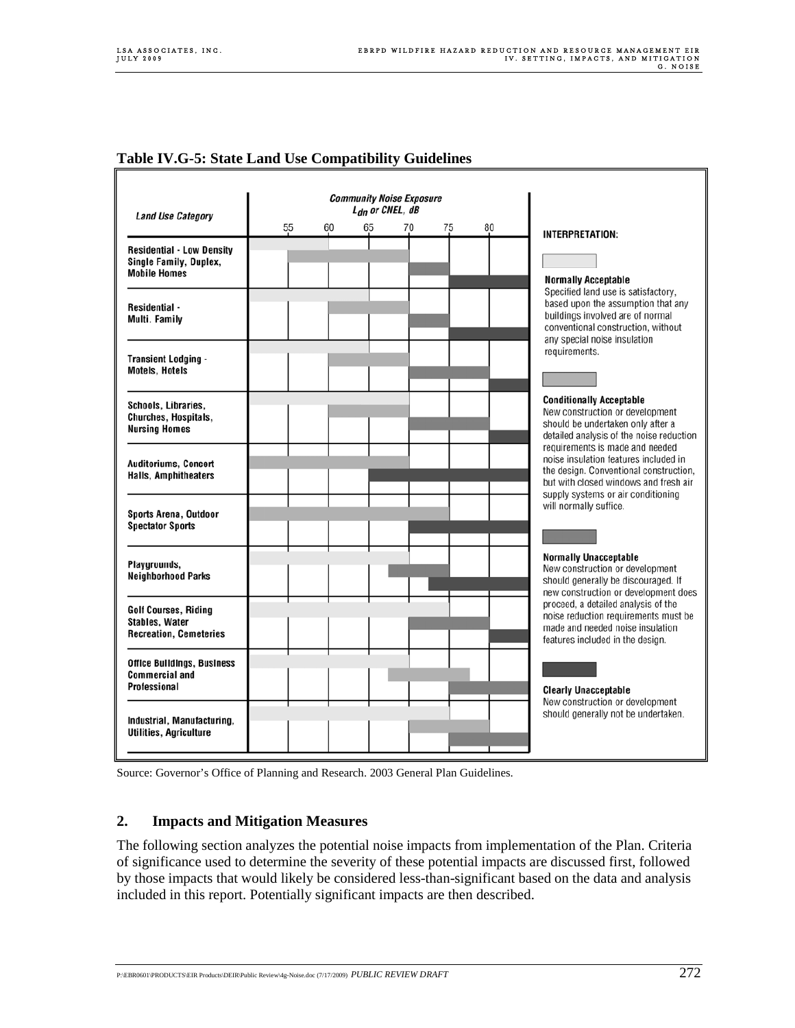| <b>Table IV.G-5: State Land Use Compatibility Guidelines</b> |  |  |
|--------------------------------------------------------------|--|--|
|                                                              |  |  |

| <b>Land Use Category</b>                                                              | <b>Community Noise Exposure</b><br>$L_{dn}$ or CNEL, $dB$ |    |    |    |    |    |    |                                                                                                                                                                                                   |
|---------------------------------------------------------------------------------------|-----------------------------------------------------------|----|----|----|----|----|----|---------------------------------------------------------------------------------------------------------------------------------------------------------------------------------------------------|
|                                                                                       |                                                           | 55 | 60 | 65 | 70 | 75 | 80 | <b>INTERPRETATION:</b>                                                                                                                                                                            |
| <b>Residential - Low Density</b><br>Single Family, Duplex,<br><b>Mobile Homes</b>     |                                                           |    |    |    |    |    |    | <b>Normally Acceptable</b>                                                                                                                                                                        |
| <b>Residential -</b><br>Multi. Family                                                 |                                                           |    |    |    |    |    |    | Specified land use is satisfactory,<br>based upon the assumption that any<br>buildings involved are of normal<br>conventional construction, without<br>any special noise insulation               |
| <b>Transient Lodging -</b><br><b>Motels, Hotels</b>                                   |                                                           |    |    |    |    |    |    | requirements.                                                                                                                                                                                     |
| Schools, Libraries,<br>Churches, Hospitals,<br><b>Nursing Homes</b>                   |                                                           |    |    |    |    |    |    | <b>Conditionally Acceptable</b><br>New construction or development<br>should be undertaken only after a<br>detailed analysis of the noise reduction                                               |
| <b>Auditoriums, Concert</b><br><b>Halls, Amphitheaters</b>                            |                                                           |    |    |    |    |    |    | requirements is made and needed<br>noise insulation features included in<br>the design. Conventional construction,<br>but with closed windows and fresh air<br>supply systems or air conditioning |
| Sports Arena, Outdoor<br><b>Spectator Sports</b>                                      |                                                           |    |    |    |    |    |    | will normally suffice.                                                                                                                                                                            |
| Playgrounds,<br><b>Neighborhood Parks</b>                                             |                                                           |    |    |    |    |    |    | <b>Normally Unacceptable</b><br>New construction or development<br>should generally be discouraged. If<br>new construction or development does                                                    |
| <b>Golf Courses, Riding</b><br><b>Stables, Water</b><br><b>Recreation, Cemeteries</b> |                                                           |    |    |    |    |    |    | proceed, a detailed analysis of the<br>noise reduction requirements must be<br>made and needed noise insulation<br>features included in the design.                                               |
| <b>Office Buildings, Business</b><br><b>Commercial and</b><br>Professional            |                                                           |    |    |    |    |    |    | <b>Clearly Unacceptable</b>                                                                                                                                                                       |
| Industrial, Manufacturing,<br><b>Utilities, Agriculture</b>                           |                                                           |    |    |    |    |    |    | New construction or development<br>should generally not be undertaken.                                                                                                                            |

Source: Governor's Office of Planning and Research. 2003 General Plan Guidelines.

### **2. Impacts and Mitigation Measures**

The following section analyzes the potential noise impacts from implementation of the Plan. Criteria of significance used to determine the severity of these potential impacts are discussed first, followed by those impacts that would likely be considered less-than-significant based on the data and analysis included in this report. Potentially significant impacts are then described.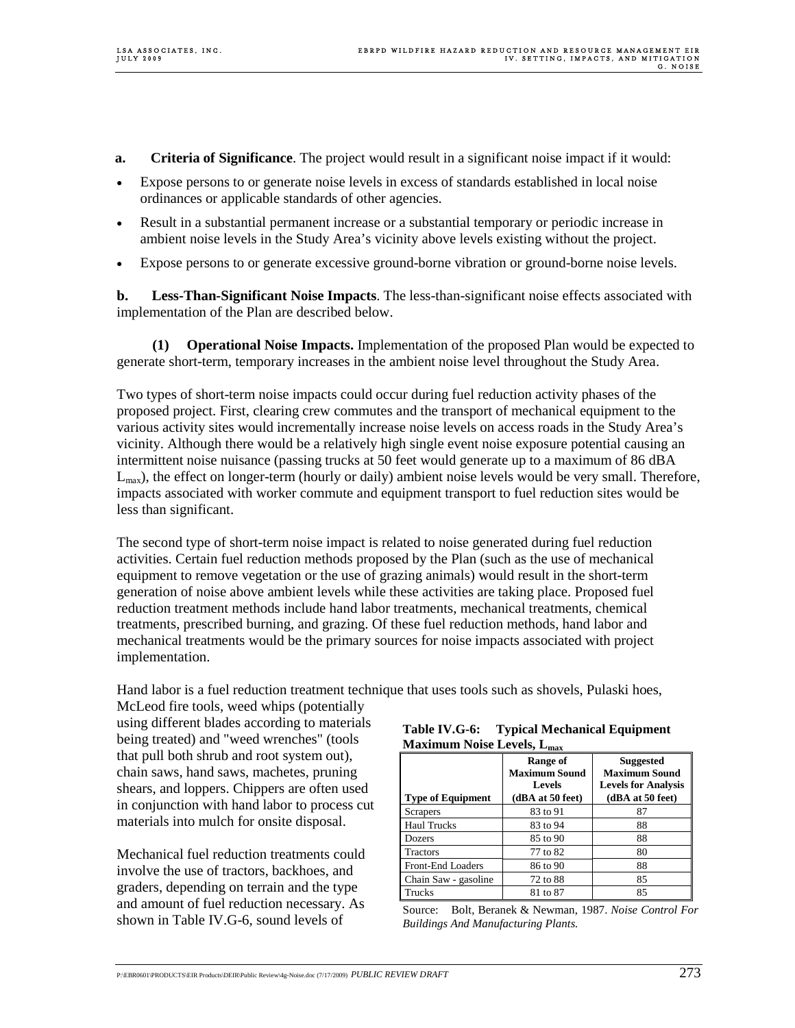- **a. Criteria of Significance**. The project would result in a significant noise impact if it would:
- Expose persons to or generate noise levels in excess of standards established in local noise ordinances or applicable standards of other agencies.
- Result in a substantial permanent increase or a substantial temporary or periodic increase in ambient noise levels in the Study Area's vicinity above levels existing without the project.
- Expose persons to or generate excessive ground-borne vibration or ground-borne noise levels.

**b. Less-Than-Significant Noise Impacts**. The less-than-significant noise effects associated with implementation of the Plan are described below.

**(1) Operational Noise Impacts.** Implementation of the proposed Plan would be expected to generate short-term, temporary increases in the ambient noise level throughout the Study Area.

Two types of short-term noise impacts could occur during fuel reduction activity phases of the proposed project. First, clearing crew commutes and the transport of mechanical equipment to the various activity sites would incrementally increase noise levels on access roads in the Study Area's vicinity. Although there would be a relatively high single event noise exposure potential causing an intermittent noise nuisance (passing trucks at 50 feet would generate up to a maximum of 86 dBA  $L_{\text{max}}$ ), the effect on longer-term (hourly or daily) ambient noise levels would be very small. Therefore, impacts associated with worker commute and equipment transport to fuel reduction sites would be less than significant.

The second type of short-term noise impact is related to noise generated during fuel reduction activities. Certain fuel reduction methods proposed by the Plan (such as the use of mechanical equipment to remove vegetation or the use of grazing animals) would result in the short-term generation of noise above ambient levels while these activities are taking place. Proposed fuel reduction treatment methods include hand labor treatments, mechanical treatments, chemical treatments, prescribed burning, and grazing. Of these fuel reduction methods, hand labor and mechanical treatments would be the primary sources for noise impacts associated with project implementation.

Hand labor is a fuel reduction treatment technique that uses tools such as shovels, Pulaski hoes,

McLeod fire tools, weed whips (potentially using different blades according to materials being treated) and "weed wrenches" (tools that pull both shrub and root system out), chain saws, hand saws, machetes, pruning shears, and loppers. Chippers are often used in conjunction with hand labor to process cut materials into mulch for onsite disposal.

Mechanical fuel reduction treatments could involve the use of tractors, backhoes, and graders, depending on terrain and the type and amount of fuel reduction necessary. As shown in Table IV.G-6, sound levels of

| Table IV.G-6:                          | <b>Typical Mechanical Equipment</b> |
|----------------------------------------|-------------------------------------|
| Maximum Noise Levels, L <sub>max</sub> |                                     |

|                          | Range of<br><b>Maximum Sound</b><br><b>Levels</b> | <b>Suggested</b><br><b>Maximum Sound</b><br><b>Levels for Analysis</b> |
|--------------------------|---------------------------------------------------|------------------------------------------------------------------------|
| <b>Type of Equipment</b> | (dBA at 50 feet)                                  | (dBA at 50 feet)                                                       |
| Scrapers                 | 83 to 91                                          | 87                                                                     |
| <b>Haul Trucks</b>       | 83 to 94                                          | 88                                                                     |
| Dozers                   | 85 to 90                                          | 88                                                                     |
| <b>Tractors</b>          | 77 to 82                                          | 80                                                                     |
| <b>Front-End Loaders</b> | 86 to 90                                          | 88                                                                     |
| Chain Saw - gasoline     | 72 to 88                                          | 85                                                                     |
| Trucks                   | 81 to 87                                          | 85                                                                     |

Source: Bolt, Beranek & Newman, 1987. *Noise Control For Buildings And Manufacturing Plants.*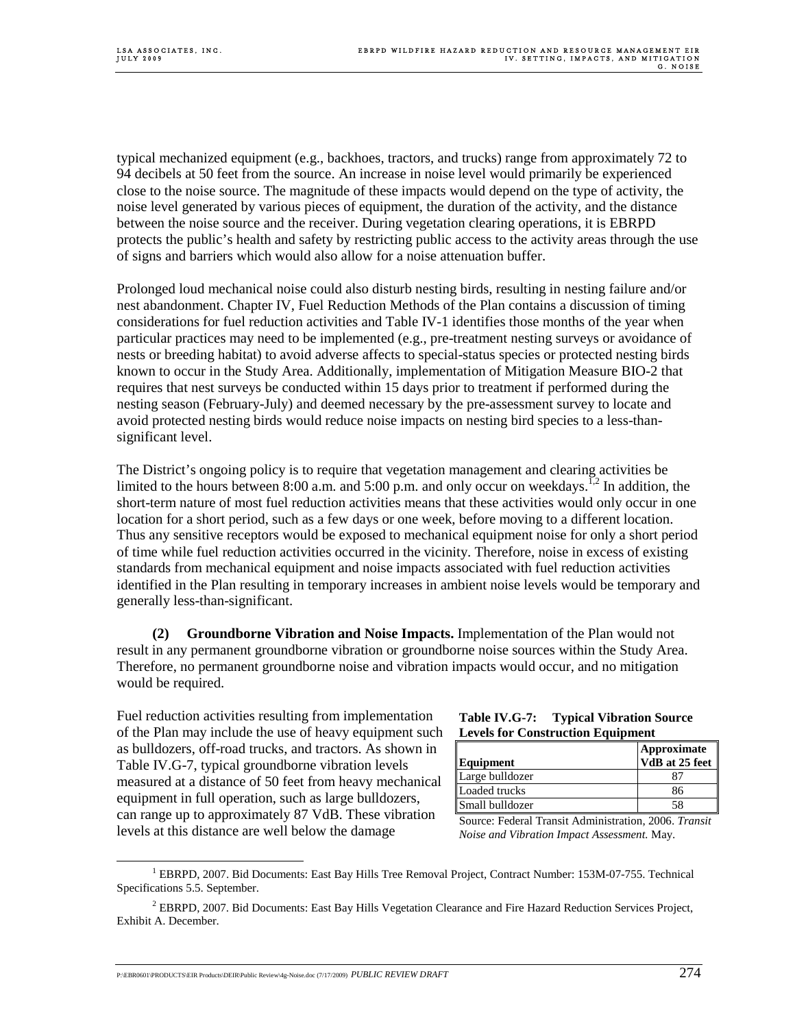typical mechanized equipment (e.g., backhoes, tractors, and trucks) range from approximately 72 to 94 decibels at 50 feet from the source. An increase in noise level would primarily be experienced close to the noise source. The magnitude of these impacts would depend on the type of activity, the noise level generated by various pieces of equipment, the duration of the activity, and the distance between the noise source and the receiver. During vegetation clearing operations, it is EBRPD protects the public's health and safety by restricting public access to the activity areas through the use of signs and barriers which would also allow for a noise attenuation buffer.

Prolonged loud mechanical noise could also disturb nesting birds, resulting in nesting failure and/or nest abandonment. Chapter IV, Fuel Reduction Methods of the Plan contains a discussion of timing considerations for fuel reduction activities and Table IV-1 identifies those months of the year when particular practices may need to be implemented (e.g., pre-treatment nesting surveys or avoidance of nests or breeding habitat) to avoid adverse affects to special-status species or protected nesting birds known to occur in the Study Area. Additionally, implementation of Mitigation Measure BIO-2 that requires that nest surveys be conducted within 15 days prior to treatment if performed during the nesting season (February-July) and deemed necessary by the pre-assessment survey to locate and avoid protected nesting birds would reduce noise impacts on nesting bird species to a less-thansignificant level.

The District's ongoing policy is to require that vegetation management and clearing activities be limited to the hours between 8:00 a.m. and 5:00 p.m. and only occur on weekdays.<sup>1,2</sup> In addition, the short-term nature of most fuel reduction activities means that these activities would only occur in one location for a short period, such as a few days or one week, before moving to a different location. Thus any sensitive receptors would be exposed to mechanical equipment noise for only a short period of time while fuel reduction activities occurred in the vicinity. Therefore, noise in excess of existing standards from mechanical equipment and noise impacts associated with fuel reduction activities identified in the Plan resulting in temporary increases in ambient noise levels would be temporary and generally less-than-significant.

**(2) Groundborne Vibration and Noise Impacts.** Implementation of the Plan would not result in any permanent groundborne vibration or groundborne noise sources within the Study Area. Therefore, no permanent groundborne noise and vibration impacts would occur, and no mitigation would be required.

Fuel reduction activities resulting from implementation of the Plan may include the use of heavy equipment such as bulldozers, off-road trucks, and tractors. As shown in Table IV.G-7, typical groundborne vibration levels measured at a distance of 50 feet from heavy mechanical equipment in full operation, such as large bulldozers, can range up to approximately 87 VdB. These vibration levels at this distance are well below the damage

#### **Table IV.G-7: Typical Vibration Source Levels for Construction Equipment**

| Equipment       | Approximate<br>VdB at 25 feet |
|-----------------|-------------------------------|
| Large bulldozer |                               |
| Loaded trucks   | 86                            |
| Small bulldozer |                               |

Source: Federal Transit Administration, 2006. *Transit Noise and Vibration Impact Assessment.* May.

 $\frac{1}{1}$  $^1$  EBRPD, 2007. Bid Documents: East Bay Hills Tree Removal Project, Contract Number: 153M-07-755. Technical Specifications 5.5. September.

<sup>&</sup>lt;sup>2</sup> EBRPD, 2007. Bid Documents: East Bay Hills Vegetation Clearance and Fire Hazard Reduction Services Project, Exhibit A. December.